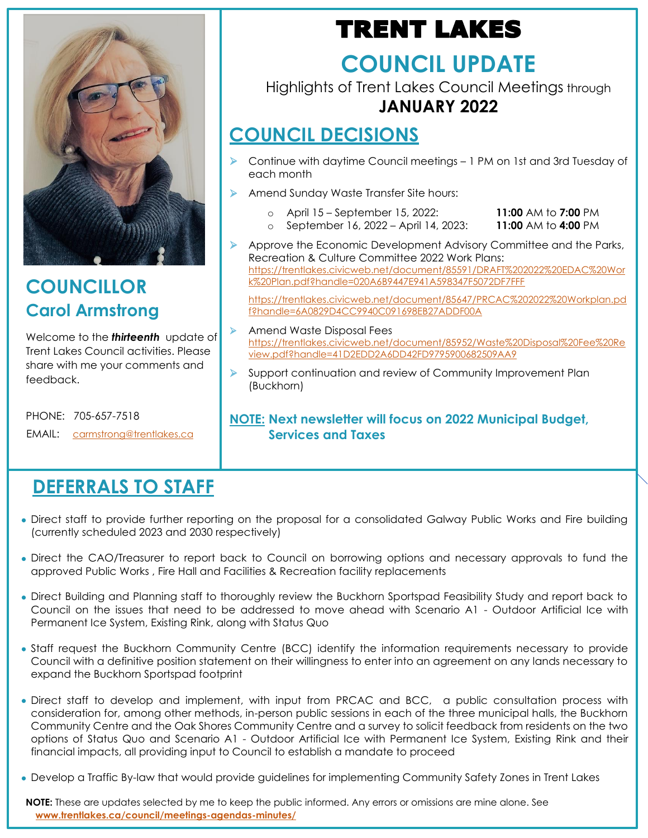

**COUNCILLOR Carol Armstrong**

Welcome to the *thirteenth* update of Trent Lakes Council activities. Please share with me your comments and feedback.

PHONE: 705-657-7518

EMAIL: [carmstrong@trentlakes.ca](mailto:carmstrong@trentlakes.ca)

## **DEFERRALS TO STAFF**

# TRENT LAKES

# **COUNCIL UPDATE**

Highlights of Trent Lakes Council Meetings through **JANUARY 2022**

## **COUNCIL DECISIONS**

- ➢ Continue with daytime Council meetings 1 PM on 1st and 3rd Tuesday of each month
- ➢ Amend Sunday Waste Transfer Site hours:
	- o April 15 September 15, 2022: **11:00** AM to **7:00** PM
	- o September 16, 2022 April 14, 2023: **11:00** AM to **4:00** PM
- ➢ Approve the Economic Development Advisory Committee and the Parks, Recreation & Culture Committee 2022 Work Plans: [https://trentlakes.civicweb.net/document/85591/DRAFT%202022%20EDAC%20Wor](https://trentlakes.civicweb.net/document/85591/DRAFT%202022%20EDAC%20Work%20Plan.pdf?handle=020A6B9447E941A598347F5072DF7FFF) [k%20Plan.pdf?handle=020A6B9447E941A598347F5072DF7FFF](https://trentlakes.civicweb.net/document/85591/DRAFT%202022%20EDAC%20Work%20Plan.pdf?handle=020A6B9447E941A598347F5072DF7FFF)

[https://trentlakes.civicweb.net/document/85647/PRCAC%202022%20Workplan.pd](https://trentlakes.civicweb.net/document/85647/PRCAC%202022%20Workplan.pdf?handle=6A0829D4CC9940C091698EB27ADDF00A) [f?handle=6A0829D4CC9940C091698EB27ADDF00A](https://trentlakes.civicweb.net/document/85647/PRCAC%202022%20Workplan.pdf?handle=6A0829D4CC9940C091698EB27ADDF00A)

- ➢ Amend Waste Disposal Fees [https://trentlakes.civicweb.net/document/85952/Waste%20Disposal%20Fee%20Re](https://trentlakes.civicweb.net/document/85952/Waste%20Disposal%20Fee%20Review.pdf?handle=41D2EDD2A6DD42FD9795900682509AA9) [view.pdf?handle=41D2EDD2A6DD42FD9795900682509AA9](https://trentlakes.civicweb.net/document/85952/Waste%20Disposal%20Fee%20Review.pdf?handle=41D2EDD2A6DD42FD9795900682509AA9)
- Support continuation and review of Community Improvement Plan (Buckhorn)

### **NOTE: Next newsletter will focus on 2022 Municipal Budget, Services and Taxes**

- Direct staff to provide further reporting on the proposal for a consolidated Galway Public Works and Fire building (currently scheduled 2023 and 2030 respectively)
- Direct the CAO/Treasurer to report back to Council on borrowing options and necessary approvals to fund the approved Public Works , Fire Hall and Facilities & Recreation facility replacements
- Direct Building and Planning staff to thoroughly review the Buckhorn Sportspad Feasibility Study and report back to Council on the issues that need to be addressed to move ahead with Scenario A1 - Outdoor Artificial Ice with Permanent Ice System, Existing Rink, along with Status Quo
- Staff request the Buckhorn Community Centre (BCC) identify the information requirements necessary to provide Council with a definitive position statement on their willingness to enter into an agreement on any lands necessary to expand the Buckhorn Sportspad footprint
- Direct staff to develop and implement, with input from PRCAC and BCC, a public consultation process with consideration for, among other methods, in-person public sessions in each of the three municipal halls, the Buckhorn Community Centre and the Oak Shores Community Centre and a survey to solicit feedback from residents on the two options of Status Quo and Scenario A1 - Outdoor Artificial Ice with Permanent Ice System, Existing Rink and their financial impacts, all providing input to Council to establish a mandate to proceed
- Develop a Traffic By-law that would provide guidelines for implementing Community Safety Zones in Trent Lakes

**NOTE:** These are updates selected by me to keep the public informed. Any errors or omissions are mine alone. See **[www.trentlakes.ca/council/meetings-agendas-minutes/](http://www.trentlakes.ca/council/meetings-agendas-minutes/)**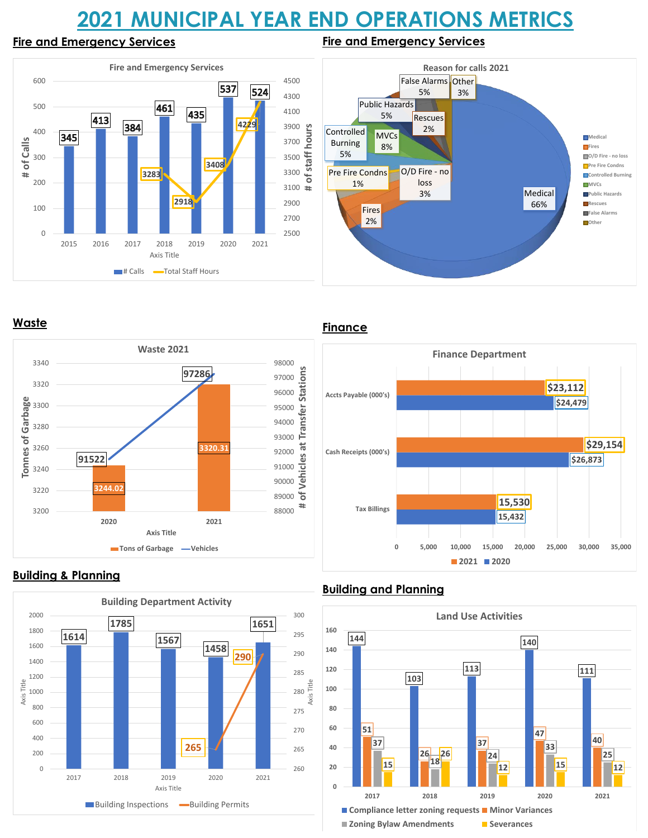# **2021 MUNICIPAL YEAR END OPERATIONS METRICS**

**Fire and Emergency Services**

#### **Fire and Emergency Services**





**Waste**



### **Building & Planning**



### **Finance**



## **Building and Planning**